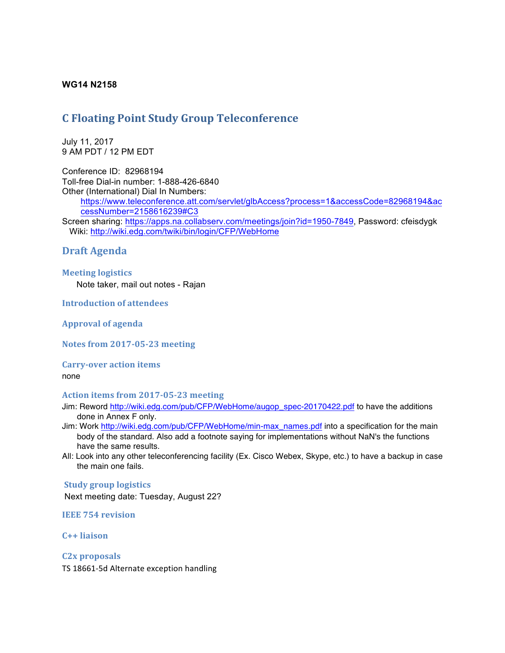### **WG14 N2158**

# **C Floating Point Study Group Teleconference**

July 11, 2017 9 AM PDT / 12 PM EDT

Conference ID: 82968194 Toll-free Dial-in number: 1-888-426-6840 Other (International) Dial In Numbers:

https://www.teleconference.att.com/servlet/glbAccess?process=1&accessCode=82968194&ac cessNumber=2158616239#C3

Screen sharing: https://apps.na.collabserv.com/meetings/join?id=1950-7849, Password: cfeisdygk Wiki: http://wiki.edg.com/twiki/bin/login/CFP/WebHome

# **Draft Agenda**

#### **Meeting logistics**

Note taker, mail out notes - Rajan

#### **Introduction of attendees**

**Approval of agenda**

**Notes from 2017-05-23 meeting**

**Carry-over action items** 

none

#### Action items from 2017-05-23 meeting

- Jim: Reword http://wiki.edg.com/pub/CFP/WebHome/augop\_spec-20170422.pdf to have the additions done in Annex F only.
- Jim: Work http://wiki.edg.com/pub/CFP/WebHome/min-max\_names.pdf into a specification for the main body of the standard. Also add a footnote saying for implementations without NaN's the functions have the same results.
- All: Look into any other teleconferencing facility (Ex. Cisco Webex, Skype, etc.) to have a backup in case the main one fails.

#### **Study group logistics**

Next meeting date: Tuesday, August 22?

**IEEE 754 revision** 

**C++ liaison**

**C2x proposals** TS 18661-5d Alternate exception handling